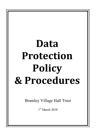# Data **Protection Policy & Procedures**

Bramley Village Hall Trust

1<sup>st</sup> March 2018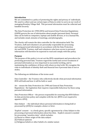# **Introduction**

We are committed to a policy of protecting the rights and privacy of individuals. We need to collect and use certain types of Data in order to carry on our work of managing Bramley Village Hall. This personal information must be collected and handled securely.

The Data Protection Act 1998 (DPA) and General Data Protection Regulations (GDPR) govern the use of information about people (personal data). Personal data can be held on computers, laptops and mobile devices, or in a manual file, and includes email, minutes of meetings, and photographs.

The charity will remain the data controller for the information held. The Trustees, staff and volunteers are personally responsible for processing and using personal information in accordance with the Data Protection Act and GDPR. Trustees, staff and volunteers who have access to personal information will therefore be expected to read and comply with this policy.

#### **Purpose**

The purpose of this policy is to set out the BVH commitment and procedures for protecting personal data. Trustees regard the lawful and correct treatment of personal information as very important to successful working, and to maintaining the confidence of those with whom we deal with. We recognise the risks to individuals of identity theft and financial loss if personal data is lost or stolen. 

The following are definitions of the terms used:

Data Controller - the Trustees who collectively decide what personal information BVH will hold and how it will be held or used.

Act - means the Data Protection Act 1998 and General Data Protection Regulations - the legislation that requires responsible behaviour by those using personal information.

Data Protection Officer – the person responsible for ensuring that BVH follows its data protection policy and complies with the Act. [BVH is not required to appoint a DPO].

Data Subject  $-$  the individual whose personal information is being held or processed by [AVH] for example a donor or hirer.

'Explicit' consent  $-$  is a freely given, specific agreement by a Data Subject to the processing of personal information about her/him. Explicit consent is needed for processing "sensitive data", which includes:

(a) Racial or ethnic origin of the data subject

(b) Political opinions

(c) Religious beliefs or other beliefs of a similar nature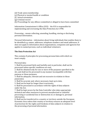- (d) Trade union membership
- (e) Physical or mental health or condition
- (f) Sexual orientation
- (g) Criminal record

(h) Proceedings for any offence committed or alleged to have been committed

Information Commissioner's Office  $(ICO)$  - the  $ICO$  is responsible for implementing and overseeing the Data Protection Act 1998.

Processing – means collecting, amending, handling, storing or disclosing personal information.

Personal Information – information about living individuals that enables them to be identified e.g. names, addresses, telephone numbers and email addresses. It does not apply to information about organisations, companies and agencies but applies to named persons, such as individual volunteers.

# **The Data Protection Act**

This contains 8 principles for processing personal data with which we must comply.

Personal data:

1. Shall be processed fairly and lawfully and, in particular, shall not be processed unless specific conditions are met.

2. Shall be obtained only for one or more of the purposes specified in the Act, and shall not be processed in any manner incompatible with that purpose or those purposes,

3. Shall be adequate, relevant and not excessive in relation to those purpose(s).

4. Shall be accurate and, where necessary, kept up to date,

5. Shall not be kept for longer than is necessary,

6. Shall be processed in accordance with the rights of data subjects under the Act.

7. Shall be kept secure by the Data Controller who takes appropriate technical and other measures to prevent unauthorised or unlawful processing or accidental loss or destruction of, or damage to, personal information, 

8. Shall not be transferred to a country or territory outside the European Economic Area unless that country or territory ensures an adequate level of protection for the rights and freedoms of data subjects in relation to the processing of personal information.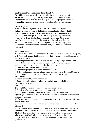# Applying the Data Protection Act within BVH

We will let people know why we are collecting their data, which is for the purpose of managing [the hall], its hirings and finances. It is our responsibility to ensure the data is only used for this purpose. Access to personal information will be limited to trustees, staff and volunteers.

#### **Correcting data**

Individuals have a right to make a Subject Access Request (SAR) to find out whether the charity holds their personal data, where, what it is used for and to have data corrected if it is wrong, to prevent use which is causing them damage or distress, or to stop marketing information being sent to them. Any SAR must be dealt with within 30 days. Steps must first be taken to confirm the identity of the individual before providing information, requiring both photo identification e.g. passport and confirmation of address e.g. recent utility bill, bank or credit card statement. 

# **Responsibilities**

BVH is the Data Controller under the Act, and is legally responsible for complying with Act, which means that it determines what purposes personal information held will be used for.

The management committee will take into account legal requirements and ensure that it is properly implemented, and will through appropriate management, strict application of criteria and controls:

a) Collection and use information fairly.

b) Specify the purposes for which information is used.

c) Collect and process appropriate information, and only to the extent that it is needed to fulfil its operational needs or to comply with any legal requirements. 

d) Ensure the quality of information used.

e) Ensure the rights of people about whom information is held, can be exercised under the Act.

These include:

i) The right to be informed that processing is undertaken.

ii) The right of access to one's personal information.

iii) The right to prevent processing in certain circumstances, and

iv) the right to correct, rectify, block or erase information which is regarded as wrong information.

f) Take appropriate technical and organisational security measures to safeguard personal information,

 $g$ ) Ensure that personal information is not transferred abroad without suitable safeguards, 

h) Treat people justly and fairly whatever their age, religion, disability, gender, sexual orientation or ethnicity when dealing with requests for information,

i) Set out clear procedures for responding to requests for information. All trustees, staff and volunteers are aware that a breach of the rules and procedures identified in this policy may lead to action being taken against them.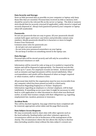#### **Data Security and Storage:**

Store as little personal data as possible on your computer or laptop; only keep those files that are essential. Personal data received on disk or memory stick should be saved to the relevant file on the server or laptop. The disk or memory stick should then be securely returned (if applicable), safely stored or wiped and securely disposed of. Always lock (password protect) your computer or laptop when left unattended.

#### Passwords:

Do not use passwords that are easy to guess. All your passwords should contain both upper and lower-case letters and preferably contain some numbers. Ideally passwords should be 6 characters or more in length. Protect Your Password:

Common sense rules for passwords are:

- do not give out your password
- Do not write your password somewhere on your laptop
- Do not keep it written on something stored in the laptop case.

#### **Data Storage:**

Personal data will be stored securely and will only be accessible to authorised volunteers or staff.

Information will be stored for only as long as it is needed or required by statute and will be disposed of appropriately. For financial records this will be up to 7 years. For employee records see below. Archival material such as minutes and legal documents will be stored indefinitely. Other correspondence and emails will be disposed of when no longer required or when trustees, staff or volunteers retire.

All personal data held for the organisation must be non-recoverable from any computer which has been passed on/sold to a third party. Information Regarding Employees or Former Employees: Information regarding an employee or a former employee, will be kept indefinitely. If something occurs years later it might be necessary to refer back to a job application or other document to check what was disclosed earlier, in order that trustees comply with their obligations e.g. regarding employment law, taxation, pensions or insurance.

#### **Accident Book:**

This will be checked regularly. Any page which has been completed will be removed, appropriate action taken and the page filed securely.

# **Data Subject Access Requests:**

We may occasionally need to share data with other agencies such as the local authority, funding bodies and other voluntary agencies in circumstances which are not in furtherance of the management of the charity. The circumstances where the law allows the charity to disclose data (including sensitive data) without the data subject's consent are: